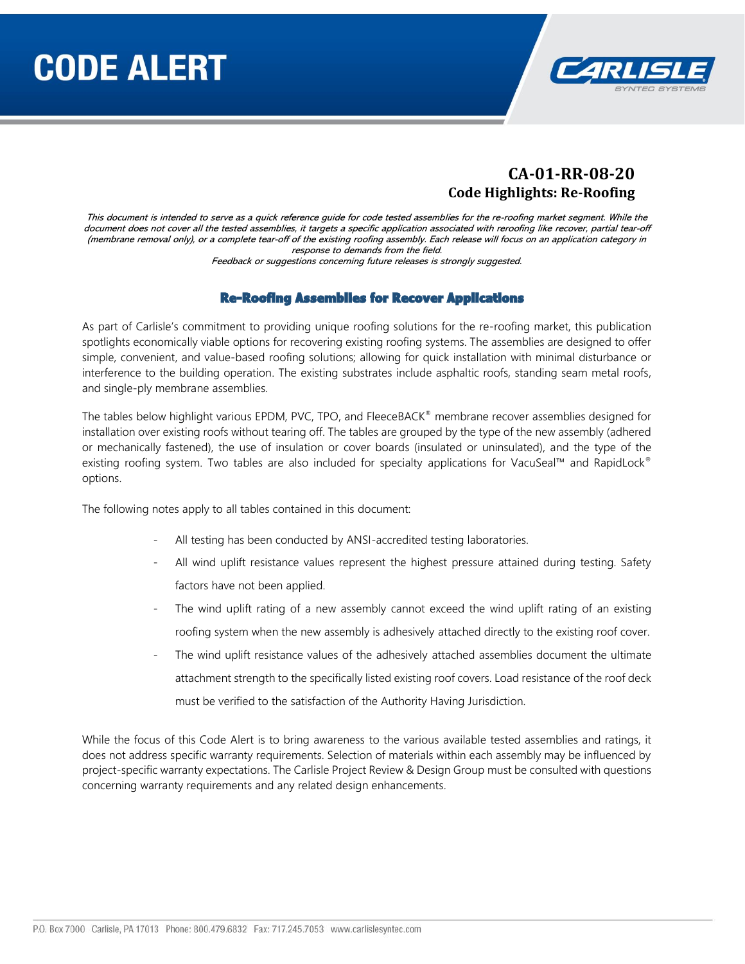

#### **CA-01-RR-08-20 Code Highlights: Re-Roofing**

This document is intended to serve as a quick reference guide for code tested assemblies for the re-roofing market segment. While the document does not cover all the tested assemblies, it targets a specific application associated with reroofing like recover, partial tear-off (membrane removal only), or a complete tear-off of the existing roofing assembly. Each release will focus on an application category in response to demands from the field.

Feedback or suggestions concerning future releases is strongly suggested.

#### Re-Roofing Assemblies for Recover Applications

As part of Carlisle's commitment to providing unique roofing solutions for the re-roofing market, this publication spotlights economically viable options for recovering existing roofing systems. The assemblies are designed to offer simple, convenient, and value-based roofing solutions; allowing for quick installation with minimal disturbance or interference to the building operation. The existing substrates include asphaltic roofs, standing seam metal roofs, and single-ply membrane assemblies.

The tables below highlight various EPDM, PVC, TPO, and FleeceBACK® membrane recover assemblies designed for installation over existing roofs without tearing off. The tables are grouped by the type of the new assembly (adhered or mechanically fastened), the use of insulation or cover boards (insulated or uninsulated), and the type of the existing roofing system. Two tables are also included for specialty applications for VacuSeal™ and RapidLock® options.

The following notes apply to all tables contained in this document:

- All testing has been conducted by ANSI-accredited testing laboratories.
- All wind uplift resistance values represent the highest pressure attained during testing. Safety factors have not been applied.
- The wind uplift rating of a new assembly cannot exceed the wind uplift rating of an existing roofing system when the new assembly is adhesively attached directly to the existing roof cover.
- The wind uplift resistance values of the adhesively attached assemblies document the ultimate attachment strength to the specifically listed existing roof covers. Load resistance of the roof deck must be verified to the satisfaction of the Authority Having Jurisdiction.

While the focus of this Code Alert is to bring awareness to the various available tested assemblies and ratings, it does not address specific warranty requirements. Selection of materials within each assembly may be influenced by project-specific warranty expectations. The Carlisle Project Review & Design Group must be consulted with questions concerning warranty requirements and any related design enhancements.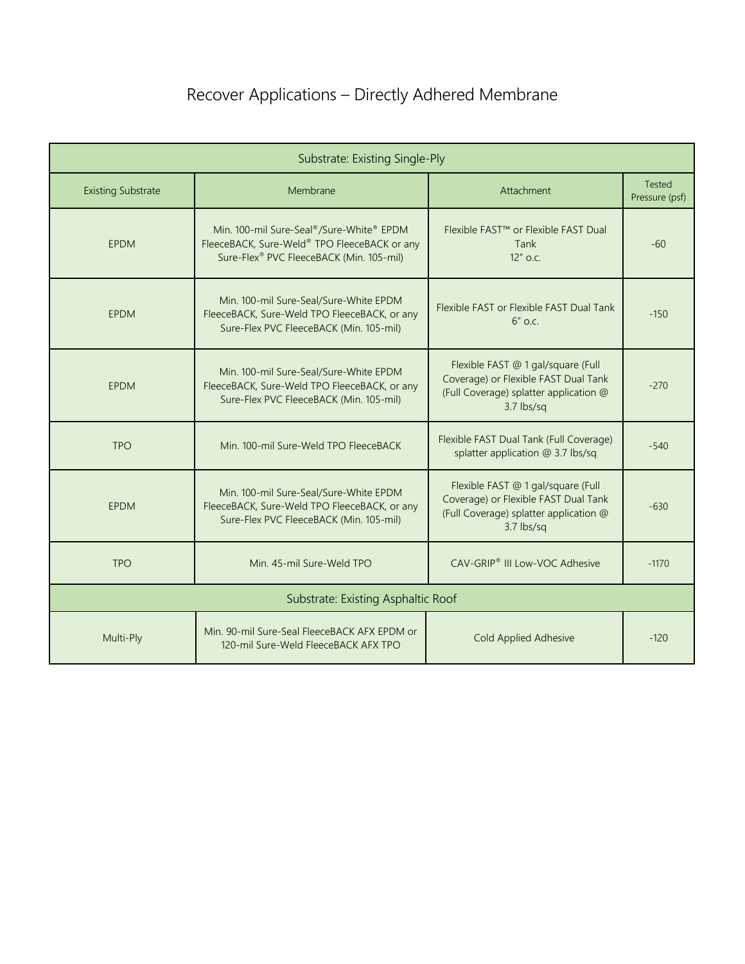# Recover Applications – Directly Adhered Membrane

| Substrate: Existing Single-Ply     |                                                                                                                                      |                                                                                                                                    |                                 |  |
|------------------------------------|--------------------------------------------------------------------------------------------------------------------------------------|------------------------------------------------------------------------------------------------------------------------------------|---------------------------------|--|
| <b>Existing Substrate</b>          | Membrane                                                                                                                             | Attachment                                                                                                                         | <b>Tested</b><br>Pressure (psf) |  |
| <b>EPDM</b>                        | Min. 100-mil Sure-Seal®/Sure-White® EPDM<br>FleeceBACK, Sure-Weld® TPO FleeceBACK or any<br>Sure-Flex® PVC FleeceBACK (Min. 105-mil) | Flexible FAST <sup>™</sup> or Flexible FAST Dual<br>Tank<br>12" o.c.                                                               | $-60$                           |  |
| <b>EPDM</b>                        | Min. 100-mil Sure-Seal/Sure-White EPDM<br>FleeceBACK, Sure-Weld TPO FleeceBACK, or any<br>Sure-Flex PVC FleeceBACK (Min. 105-mil)    | Flexible FAST or Flexible FAST Dual Tank<br>$6''$ o.c.                                                                             | $-150$                          |  |
| <b>EPDM</b>                        | Min. 100-mil Sure-Seal/Sure-White EPDM<br>FleeceBACK, Sure-Weld TPO FleeceBACK, or any<br>Sure-Flex PVC FleeceBACK (Min. 105-mil)    | Flexible FAST @ 1 gal/square (Full<br>Coverage) or Flexible FAST Dual Tank<br>(Full Coverage) splatter application @<br>3.7 lbs/sq | $-270$                          |  |
| <b>TPO</b>                         | Min. 100-mil Sure-Weld TPO FleeceBACK                                                                                                | Flexible FAST Dual Tank (Full Coverage)<br>splatter application @ 3.7 lbs/sq                                                       | $-540$                          |  |
| <b>EPDM</b>                        | Min. 100-mil Sure-Seal/Sure-White EPDM<br>FleeceBACK, Sure-Weld TPO FleeceBACK, or any<br>Sure-Flex PVC FleeceBACK (Min. 105-mil)    | Flexible FAST @ 1 gal/square (Full<br>Coverage) or Flexible FAST Dual Tank<br>(Full Coverage) splatter application @<br>3.7 lbs/sq | $-630$                          |  |
| <b>TPO</b>                         | Min. 45-mil Sure-Weld TPO                                                                                                            | CAV-GRIP® III Low-VOC Adhesive                                                                                                     | $-1170$                         |  |
| Substrate: Existing Asphaltic Roof |                                                                                                                                      |                                                                                                                                    |                                 |  |
| Multi-Ply                          | Min. 90-mil Sure-Seal FleeceBACK AFX EPDM or<br>120-mil Sure-Weld FleeceBACK AFX TPO                                                 | <b>Cold Applied Adhesive</b>                                                                                                       | $-120$                          |  |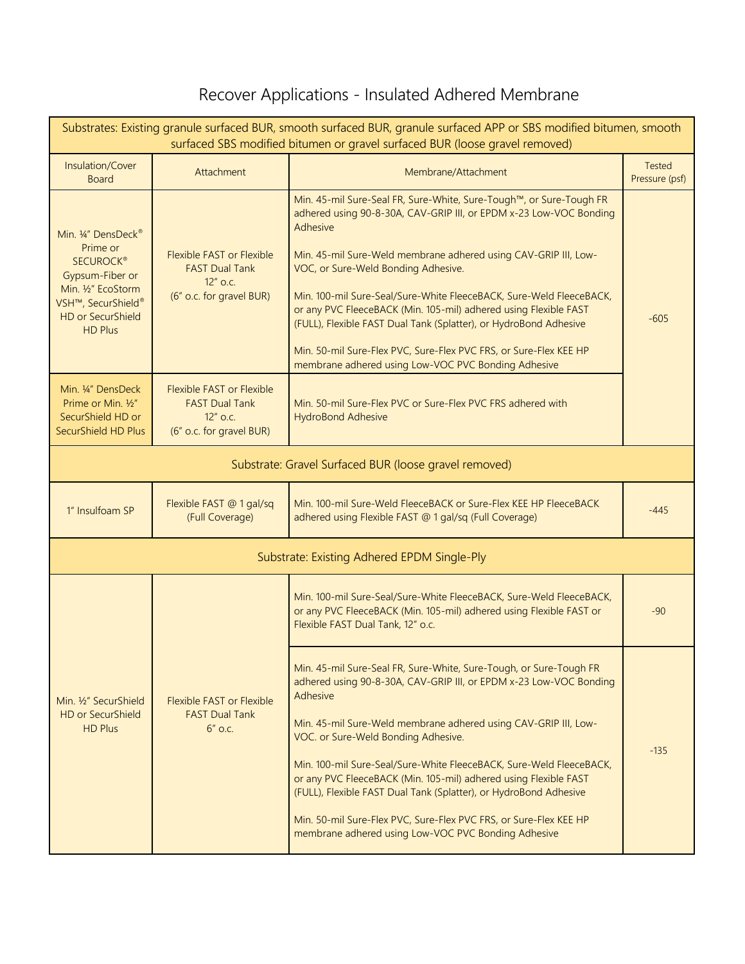## Recover Applications - Insulated Adhered Membrane

|                                                                                                                                                                              |                                                                                                      | Substrates: Existing granule surfaced BUR, smooth surfaced BUR, granule surfaced APP or SBS modified bitumen, smooth<br>surfaced SBS modified bitumen or gravel surfaced BUR (loose gravel removed)                                                                                                                                                                                                                                                                                                                                                                                                         |                                 |  |
|------------------------------------------------------------------------------------------------------------------------------------------------------------------------------|------------------------------------------------------------------------------------------------------|-------------------------------------------------------------------------------------------------------------------------------------------------------------------------------------------------------------------------------------------------------------------------------------------------------------------------------------------------------------------------------------------------------------------------------------------------------------------------------------------------------------------------------------------------------------------------------------------------------------|---------------------------------|--|
| Insulation/Cover<br><b>Board</b>                                                                                                                                             | Attachment                                                                                           | Membrane/Attachment                                                                                                                                                                                                                                                                                                                                                                                                                                                                                                                                                                                         | <b>Tested</b><br>Pressure (psf) |  |
| Min. 1/4" DensDeck <sup>®</sup><br>Prime or<br><b>SECUROCK®</b><br>Gypsum-Fiber or<br>Min. 1/2" EcoStorm<br>VSH™, SecurShield®<br><b>HD or SecurShield</b><br><b>HD Plus</b> | <b>Flexible FAST or Flexible</b><br><b>FAST Dual Tank</b><br>$12''$ o.c.<br>(6" o.c. for gravel BUR) | Min. 45-mil Sure-Seal FR, Sure-White, Sure-Tough™, or Sure-Tough FR<br>adhered using 90-8-30A, CAV-GRIP III, or EPDM x-23 Low-VOC Bonding<br>Adhesive<br>Min. 45-mil Sure-Weld membrane adhered using CAV-GRIP III, Low-<br>VOC, or Sure-Weld Bonding Adhesive.<br>Min. 100-mil Sure-Seal/Sure-White FleeceBACK, Sure-Weld FleeceBACK,<br>or any PVC FleeceBACK (Min. 105-mil) adhered using Flexible FAST<br>(FULL), Flexible FAST Dual Tank (Splatter), or HydroBond Adhesive<br>Min. 50-mil Sure-Flex PVC, Sure-Flex PVC FRS, or Sure-Flex KEE HP<br>membrane adhered using Low-VOC PVC Bonding Adhesive | $-605$                          |  |
| Min. 1/4" DensDeck<br>Prime or Min. 1/2"<br>SecurShield HD or<br>SecurShield HD Plus                                                                                         | Flexible FAST or Flexible<br><b>FAST Dual Tank</b><br>$12''$ o.c.<br>(6" o.c. for gravel BUR)        | Min. 50-mil Sure-Flex PVC or Sure-Flex PVC FRS adhered with<br><b>HydroBond Adhesive</b>                                                                                                                                                                                                                                                                                                                                                                                                                                                                                                                    |                                 |  |
|                                                                                                                                                                              | Substrate: Gravel Surfaced BUR (loose gravel removed)                                                |                                                                                                                                                                                                                                                                                                                                                                                                                                                                                                                                                                                                             |                                 |  |
| 1" Insulfoam SP                                                                                                                                                              | Flexible FAST @ 1 gal/sq<br>(Full Coverage)                                                          | Min. 100-mil Sure-Weld FleeceBACK or Sure-Flex KEE HP FleeceBACK<br>adhered using Flexible FAST @ 1 gal/sq (Full Coverage)                                                                                                                                                                                                                                                                                                                                                                                                                                                                                  | $-445$                          |  |
|                                                                                                                                                                              |                                                                                                      | Substrate: Existing Adhered EPDM Single-Ply                                                                                                                                                                                                                                                                                                                                                                                                                                                                                                                                                                 |                                 |  |
|                                                                                                                                                                              |                                                                                                      | Min. 100-mil Sure-Seal/Sure-White FleeceBACK, Sure-Weld FleeceBACK,<br>or any PVC FleeceBACK (Min. 105-mil) adhered using Flexible FAST or<br>Flexible FAST Dual Tank, 12" o.c.                                                                                                                                                                                                                                                                                                                                                                                                                             | $-90$                           |  |
| Min. 1/2" SecurShield<br><b>HD or SecurShield</b><br>HD Plus                                                                                                                 | <b>Flexible FAST or Flexible</b><br><b>FAST Dual Tank</b><br>$6"$ o.c.                               | Min. 45-mil Sure-Seal FR, Sure-White, Sure-Tough, or Sure-Tough FR<br>adhered using 90-8-30A, CAV-GRIP III, or EPDM x-23 Low-VOC Bonding<br>Adhesive<br>Min. 45-mil Sure-Weld membrane adhered using CAV-GRIP III, Low-<br>VOC. or Sure-Weld Bonding Adhesive.<br>Min. 100-mil Sure-Seal/Sure-White FleeceBACK, Sure-Weld FleeceBACK,<br>or any PVC FleeceBACK (Min. 105-mil) adhered using Flexible FAST<br>(FULL), Flexible FAST Dual Tank (Splatter), or HydroBond Adhesive<br>Min. 50-mil Sure-Flex PVC, Sure-Flex PVC FRS, or Sure-Flex KEE HP<br>membrane adhered using Low-VOC PVC Bonding Adhesive  | $-135$                          |  |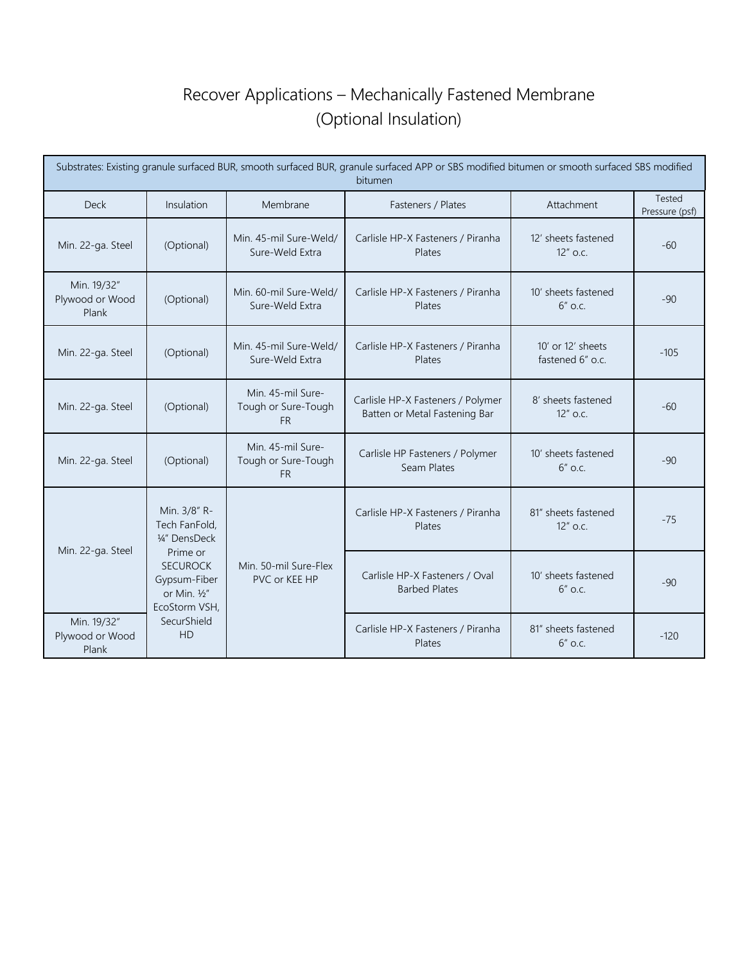### Recover Applications – Mechanically Fastened Membrane (Optional Insulation)

| Substrates: Existing granule surfaced BUR, smooth surfaced BUR, granule surfaced APP or SBS modified bitumen or smooth surfaced SBS modified<br>bitumen |                                                                              |                                                       |                                                                    |                                       |                          |
|---------------------------------------------------------------------------------------------------------------------------------------------------------|------------------------------------------------------------------------------|-------------------------------------------------------|--------------------------------------------------------------------|---------------------------------------|--------------------------|
| <b>Deck</b>                                                                                                                                             | Insulation                                                                   | Membrane                                              | Fasteners / Plates                                                 | Attachment                            | Tested<br>Pressure (psf) |
| Min. 22-ga. Steel                                                                                                                                       | (Optional)                                                                   | Min. 45-mil Sure-Weld/<br>Sure-Weld Extra             | Carlisle HP-X Fasteners / Piranha<br>Plates                        | 12' sheets fastened<br>$12''$ o.c.    | $-60$                    |
| Min. 19/32"<br>Plywood or Wood<br>Plank                                                                                                                 | (Optional)                                                                   | Min. 60-mil Sure-Weld/<br>Sure-Weld Extra             | Carlisle HP-X Fasteners / Piranha<br>Plates                        | 10' sheets fastened<br>$6''$ o.c.     | $-90$                    |
| Min. 22-ga. Steel                                                                                                                                       | (Optional)                                                                   | Min. 45-mil Sure-Weld/<br>Sure-Weld Extra             | Carlisle HP-X Fasteners / Piranha<br>Plates                        | 10' or 12' sheets<br>fastened 6" o.c. | $-105$                   |
| Min. 22-ga. Steel                                                                                                                                       | (Optional)                                                                   | Min. 45-mil Sure-<br>Tough or Sure-Tough<br><b>FR</b> | Carlisle HP-X Fasteners / Polymer<br>Batten or Metal Fastening Bar | 8' sheets fastened<br>$12''$ o.c.     | $-60$                    |
| Min. 22-ga. Steel                                                                                                                                       | (Optional)                                                                   | Min. 45-mil Sure-<br>Tough or Sure-Tough<br><b>FR</b> | Carlisle HP Fasteners / Polymer<br>Seam Plates                     | 10' sheets fastened<br>$6''$ o.c.     | $-90$                    |
| Min. 22-ga. Steel                                                                                                                                       | Min. 3/8" R-<br>Tech FanFold,<br>1/4" DensDeck                               |                                                       | Carlisle HP-X Fasteners / Piranha<br>Plates                        | 81" sheets fastened<br>12" o.c.       | $-75$                    |
|                                                                                                                                                         | Prime or<br><b>SECUROCK</b><br>Gypsum-Fiber<br>or Min. 1/2"<br>EcoStorm VSH, | Min. 50-mil Sure-Flex<br>PVC or KEE HP                | Carlisle HP-X Fasteners / Oval<br><b>Barbed Plates</b>             | 10' sheets fastened<br>$6"$ o.c.      | $-90$                    |
| Min. 19/32"<br>Plywood or Wood<br>Plank                                                                                                                 | SecurShield<br><b>HD</b>                                                     |                                                       | Carlisle HP-X Fasteners / Piranha<br>Plates                        | 81" sheets fastened<br>$6''$ o.c.     | $-120$                   |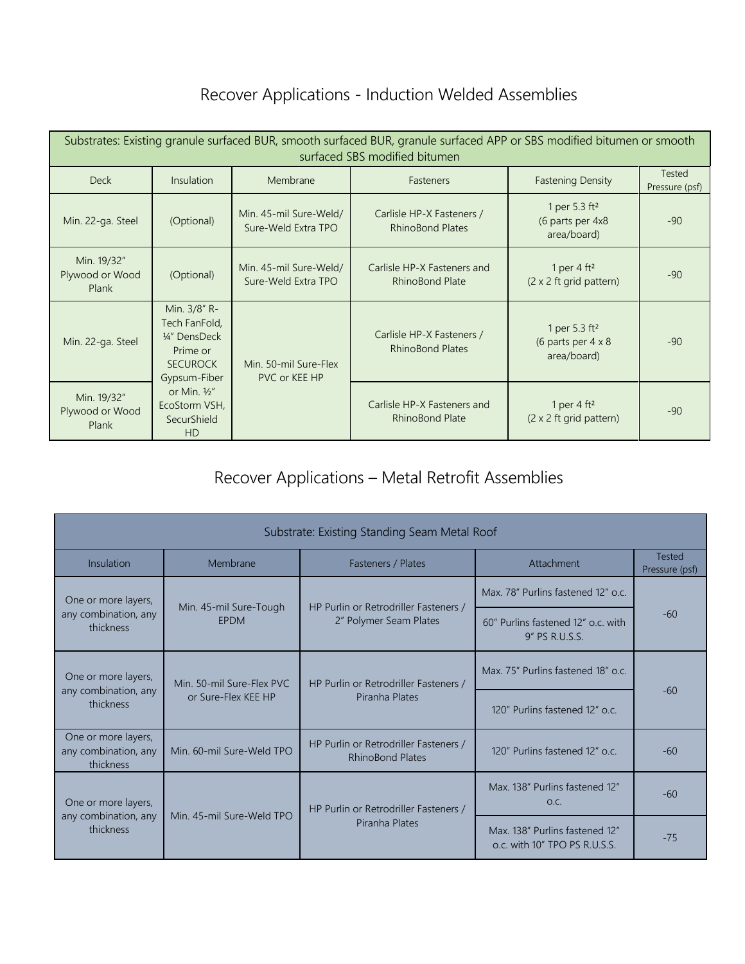#### Recover Applications - Induction Welded Assemblies

| Substrates: Existing granule surfaced BUR, smooth surfaced BUR, granule surfaced APP or SBS modified bitumen or smooth<br>surfaced SBS modified bitumen |                                                                                               |                                               |                                                       |                                                                       |                          |
|---------------------------------------------------------------------------------------------------------------------------------------------------------|-----------------------------------------------------------------------------------------------|-----------------------------------------------|-------------------------------------------------------|-----------------------------------------------------------------------|--------------------------|
| <b>Deck</b>                                                                                                                                             | <b>Insulation</b>                                                                             | Membrane                                      | <b>Fasteners</b>                                      | <b>Fastening Density</b>                                              | Tested<br>Pressure (psf) |
| Min. 22-ga. Steel                                                                                                                                       | (Optional)                                                                                    | Min. 45-mil Sure-Weld/<br>Sure-Weld Extra TPO | Carlisle HP-X Fasteners /<br><b>RhinoBond Plates</b>  | 1 per 5.3 ft <sup>2</sup><br>(6 parts per 4x8<br>area/board)          | $-90$                    |
| Min. 19/32"<br>Plywood or Wood<br>Plank                                                                                                                 | (Optional)                                                                                    | Min. 45-mil Sure-Weld/<br>Sure-Weld Extra TPO | Carlisle HP-X Fasteners and<br><b>RhinoBond Plate</b> | 1 per 4 $ft^2$<br>$(2 \times 2$ ft grid pattern)                      | $-90$                    |
| Min. 22-ga. Steel                                                                                                                                       | Min. 3/8" R-<br>Tech FanFold,<br>1/4" DensDeck<br>Prime or<br><b>SECUROCK</b><br>Gypsum-Fiber | Min. 50-mil Sure-Flex<br>PVC or KEE HP        | Carlisle HP-X Fasteners /<br><b>RhinoBond Plates</b>  | 1 per 5.3 ft <sup>2</sup><br>(6 parts per $4 \times 8$<br>area/board) | $-90$                    |
| Min. 19/32"<br>Plywood or Wood<br>Plank                                                                                                                 | or Min. $\frac{1}{2}$ "<br>EcoStorm VSH,<br>SecurShield<br><b>HD</b>                          |                                               | Carlisle HP-X Fasteners and<br><b>RhinoBond Plate</b> | 1 per 4 $ft^2$<br>$(2 \times 2$ ft grid pattern)                      | $-90$                    |

## Recover Applications – Metal Retrofit Assemblies

| Substrate: Existing Standing Seam Metal Roof             |                                                  |                                                                  |                                                                 |                                 |  |
|----------------------------------------------------------|--------------------------------------------------|------------------------------------------------------------------|-----------------------------------------------------------------|---------------------------------|--|
| Insulation                                               | Membrane<br>Fasteners / Plates                   |                                                                  | Attachment                                                      | <b>Tested</b><br>Pressure (psf) |  |
| One or more layers,<br>any combination, any<br>thickness | Min. 45-mil Sure-Tough<br><b>FPDM</b>            | HP Purlin or Retrodriller Fasteners /                            | Max. 78" Purlins fastened 12" o.c.                              | $-60$                           |  |
|                                                          |                                                  | 2" Polymer Seam Plates                                           | 60" Purlins fastened 12" o.c. with<br>9" PS R.U.S.S.            |                                 |  |
| One or more layers,<br>any combination, any<br>thickness | Min. 50-mil Sure-Flex PVC<br>or Sure-Flex KEE HP | HP Purlin or Retrodriller Fasteners /<br>Piranha Plates          | Max, 75" Purlins fastened 18" o.c.                              | $-60$                           |  |
|                                                          |                                                  |                                                                  | 120" Purlins fastened 12" o.c.                                  |                                 |  |
| One or more layers,<br>any combination, any<br>thickness | Min. 60-mil Sure-Weld TPO                        | HP Purlin or Retrodriller Fasteners /<br><b>RhinoBond Plates</b> | 120" Purlins fastened 12" o.c.                                  | $-60$                           |  |
| One or more layers,<br>any combination, any<br>thickness |                                                  | HP Purlin or Retrodriller Fasteners /                            | Max. 138" Purlins fastened 12"<br>O.C.                          | $-60$                           |  |
|                                                          | Min. 45-mil Sure-Weld TPO                        | Piranha Plates                                                   | Max. 138" Purlins fastened 12"<br>o.c. with 10" TPO PS R.U.S.S. | $-75$                           |  |